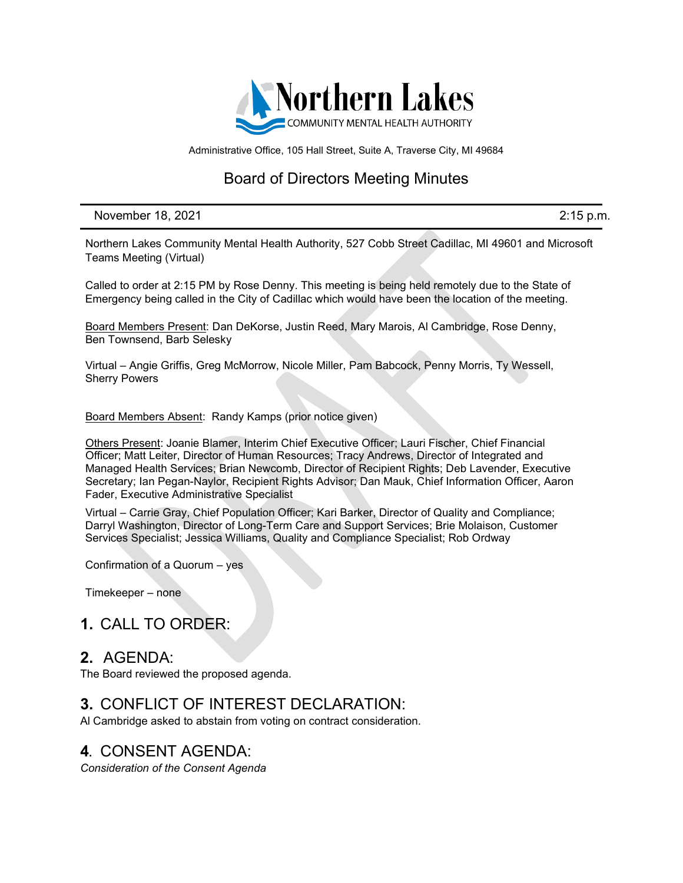

Administrative Office, 105 Hall Street, Suite A, Traverse City, MI 49684

# Board of Directors Meeting Minutes

November 18, 2021 **2:15 p.m.** 

Northern Lakes Community Mental Health Authority, 527 Cobb Street Cadillac, MI 49601 and Microsoft Teams Meeting (Virtual)

Called to order at 2:15 PM by Rose Denny. This meeting is being held remotely due to the State of Emergency being called in the City of Cadillac which would have been the location of the meeting.

Board Members Present: Dan DeKorse, Justin Reed, Mary Marois, Al Cambridge, Rose Denny, Ben Townsend, Barb Selesky

Virtual – Angie Griffis, Greg McMorrow, Nicole Miller, Pam Babcock, Penny Morris, Ty Wessell, Sherry Powers

Board Members Absent: Randy Kamps (prior notice given)

Others Present: Joanie Blamer, Interim Chief Executive Officer; Lauri Fischer, Chief Financial Officer; Matt Leiter, Director of Human Resources; Tracy Andrews, Director of Integrated and Managed Health Services; Brian Newcomb, Director of Recipient Rights; Deb Lavender, Executive Secretary; Ian Pegan-Naylor, Recipient Rights Advisor; Dan Mauk, Chief Information Officer, Aaron Fader, Executive Administrative Specialist

Virtual – Carrie Gray, Chief Population Officer; Kari Barker, Director of Quality and Compliance; Darryl Washington, Director of Long-Term Care and Support Services; Brie Molaison, Customer Services Specialist; Jessica Williams, Quality and Compliance Specialist; Rob Ordway

Confirmation of a Quorum – yes

Timekeeper – none

## **1.** CALL TO ORDER:

### **2.** AGENDA:

The Board reviewed the proposed agenda.

# **3.** CONFLICT OF INTEREST DECLARATION:

Al Cambridge asked to abstain from voting on contract consideration.

## **4.** CONSENT AGENDA:

*Consideration of the Consent Agenda*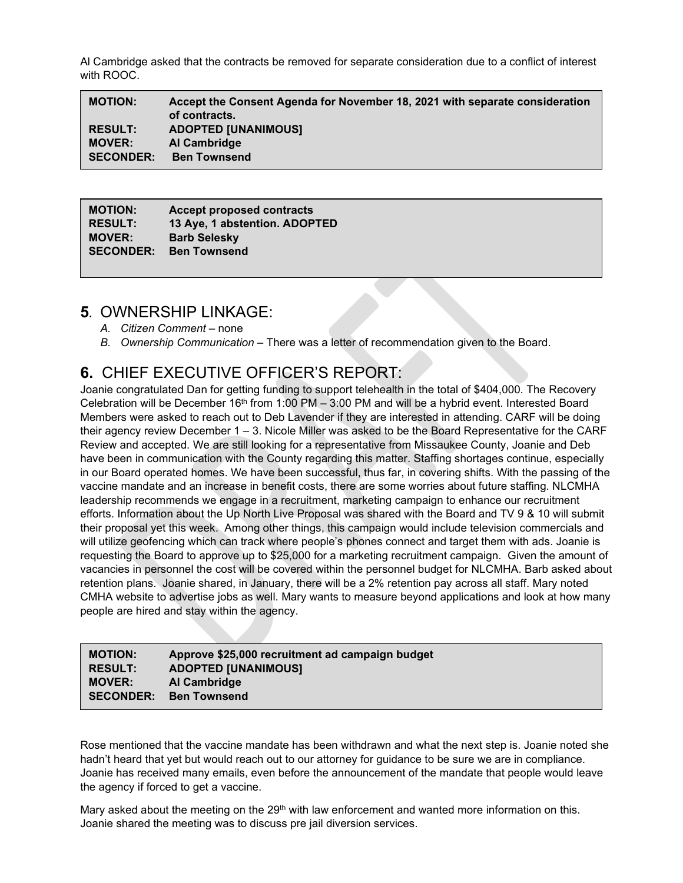Al Cambridge asked that the contracts be removed for separate consideration due to a conflict of interest with ROOC.

**MOTION: Accept the Consent Agenda for November 18, 2021 with separate consideration of contracts. RESULT: ADOPTED [UNANIMOUS] MOVER: Al Cambridge SECONDER: Ben Townsend**

| <b>Accept proposed contracts</b> |
|----------------------------------|
| 13 Aye, 1 abstention. ADOPTED    |
| <b>Barb Selesky</b>              |
| <b>Ben Townsend</b>              |
|                                  |

## **5.** OWNERSHIP LINKAGE:

- *A. Citizen Comment* none
- *B. Ownership Communication –* There was a letter of recommendation given to the Board.

# **6.** CHIEF EXECUTIVE OFFICER'S REPORT:

Joanie congratulated Dan for getting funding to support telehealth in the total of \$404,000. The Recovery Celebration will be December  $16<sup>th</sup>$  from 1:00 PM – 3:00 PM and will be a hybrid event. Interested Board Members were asked to reach out to Deb Lavender if they are interested in attending. CARF will be doing their agency review December  $1 - 3$ . Nicole Miller was asked to be the Board Representative for the CARF Review and accepted. We are still looking for a representative from Missaukee County, Joanie and Deb have been in communication with the County regarding this matter. Staffing shortages continue, especially in our Board operated homes. We have been successful, thus far, in covering shifts. With the passing of the vaccine mandate and an increase in benefit costs, there are some worries about future staffing. NLCMHA leadership recommends we engage in a recruitment, marketing campaign to enhance our recruitment efforts. Information about the Up North Live Proposal was shared with the Board and TV 9 & 10 will submit their proposal yet this week. Among other things, this campaign would include television commercials and will utilize geofencing which can track where people's phones connect and target them with ads. Joanie is requesting the Board to approve up to \$25,000 for a marketing recruitment campaign. Given the amount of vacancies in personnel the cost will be covered within the personnel budget for NLCMHA. Barb asked about retention plans. Joanie shared, in January, there will be a 2% retention pay across all staff. Mary noted CMHA website to advertise jobs as well. Mary wants to measure beyond applications and look at how many people are hired and stay within the agency.

| <b>MOTION:</b>   | Approve \$25,000 recruitment ad campaign budget |
|------------------|-------------------------------------------------|
| <b>RESULT:</b>   | <b>ADOPTED [UNANIMOUS]</b>                      |
| <b>MOVER:</b>    | Al Cambridge                                    |
| <b>SECONDER:</b> | <b>Ben Townsend</b>                             |

Rose mentioned that the vaccine mandate has been withdrawn and what the next step is. Joanie noted she hadn't heard that yet but would reach out to our attorney for guidance to be sure we are in compliance. Joanie has received many emails, even before the announcement of the mandate that people would leave the agency if forced to get a vaccine.

Mary asked about the meeting on the  $29<sup>th</sup>$  with law enforcement and wanted more information on this. Joanie shared the meeting was to discuss pre jail diversion services.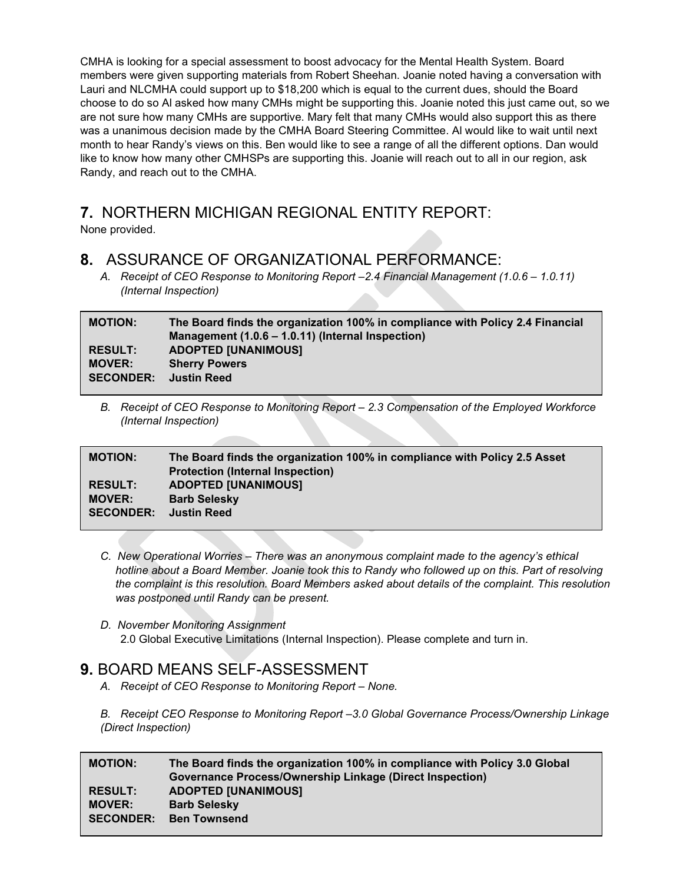CMHA is looking for a special assessment to boost advocacy for the Mental Health System. Board members were given supporting materials from Robert Sheehan. Joanie noted having a conversation with Lauri and NLCMHA could support up to \$18,200 which is equal to the current dues, should the Board choose to do so Al asked how many CMHs might be supporting this. Joanie noted this just came out, so we are not sure how many CMHs are supportive. Mary felt that many CMHs would also support this as there was a unanimous decision made by the CMHA Board Steering Committee. Al would like to wait until next month to hear Randy's views on this. Ben would like to see a range of all the different options. Dan would like to know how many other CMHSPs are supporting this. Joanie will reach out to all in our region, ask Randy, and reach out to the CMHA.

# **7.** NORTHERN MICHIGAN REGIONAL ENTITY REPORT:

None provided.

# **8.** ASSURANCE OF ORGANIZATIONAL PERFORMANCE:

*A. Receipt of CEO Response to Monitoring Report –2.4 Financial Management (1.0.6 – 1.0.11) (Internal Inspection)*

| <b>MOTION:</b>   | The Board finds the organization 100% in compliance with Policy 2.4 Financial<br>Management (1.0.6 – 1.0.11) (Internal Inspection) |
|------------------|------------------------------------------------------------------------------------------------------------------------------------|
| <b>RESULT:</b>   | <b>ADOPTED [UNANIMOUS]</b>                                                                                                         |
| <b>MOVER:</b>    | <b>Sherry Powers</b>                                                                                                               |
| <b>SECONDER:</b> | <b>Justin Reed</b>                                                                                                                 |
|                  |                                                                                                                                    |

*B. Receipt of CEO Response to Monitoring Report – 2.3 Compensation of the Employed Workforce (Internal Inspection)*

| <b>MOTION:</b>   | The Board finds the organization 100% in compliance with Policy 2.5 Asset<br><b>Protection (Internal Inspection)</b> |
|------------------|----------------------------------------------------------------------------------------------------------------------|
| <b>RESULT:</b>   | <b>ADOPTED [UNANIMOUS]</b>                                                                                           |
| <b>MOVER:</b>    | <b>Barb Selesky</b>                                                                                                  |
| <b>SECONDER:</b> | <b>Justin Reed</b>                                                                                                   |

- *C. New Operational Worries – There was an anonymous complaint made to the agency's ethical hotline about a Board Member. Joanie took this to Randy who followed up on this. Part of resolving the complaint is this resolution. Board Members asked about details of the complaint. This resolution was postponed until Randy can be present.*
- *D. November Monitoring Assignment* 2.0 Global Executive Limitations (Internal Inspection). Please complete and turn in.

# **9.** BOARD MEANS SELF-ASSESSMENT

- *A. Receipt of CEO Response to Monitoring Report – None.*
- *B. Receipt CEO Response to Monitoring Report –3.0 Global Governance Process/Ownership Linkage (Direct Inspection)*

| <b>MOTION:</b>   | The Board finds the organization 100% in compliance with Policy 3.0 Global |
|------------------|----------------------------------------------------------------------------|
|                  | <b>Governance Process/Ownership Linkage (Direct Inspection)</b>            |
| <b>RESULT:</b>   | <b>ADOPTED [UNANIMOUS]</b>                                                 |
| <b>MOVER:</b>    | <b>Barb Selesky</b>                                                        |
| <b>SECONDER:</b> | <b>Ben Townsend</b>                                                        |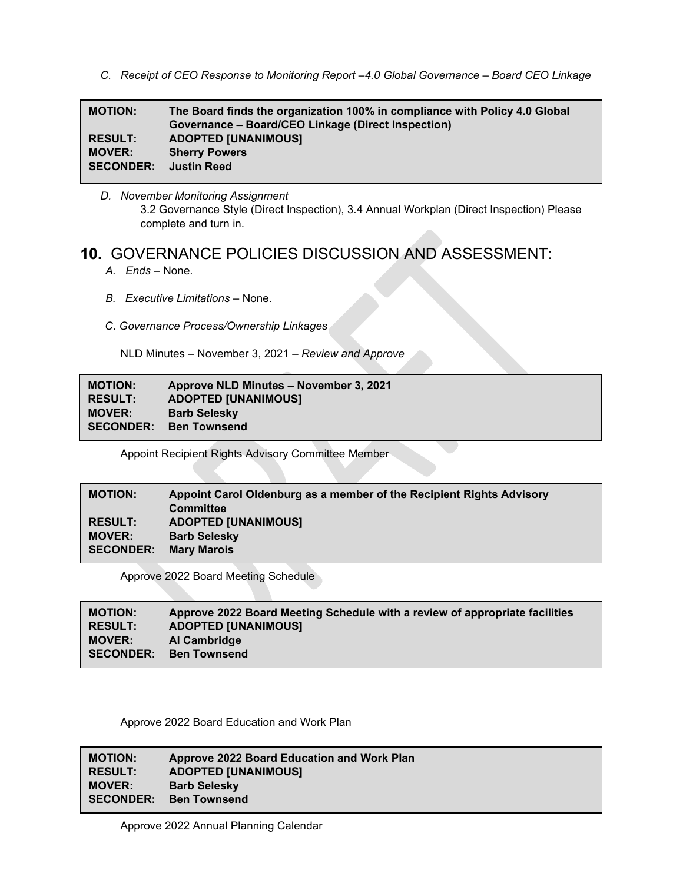*C. Receipt of CEO Response to Monitoring Report –4.0 Global Governance – Board CEO Linkage*

| <b>MOTION:</b>   | The Board finds the organization 100% in compliance with Policy 4.0 Global<br>Governance – Board/CEO Linkage (Direct Inspection) |
|------------------|----------------------------------------------------------------------------------------------------------------------------------|
| <b>RESULT:</b>   | <b>ADOPTED [UNANIMOUS]</b>                                                                                                       |
| <b>MOVER:</b>    | <b>Sherry Powers</b>                                                                                                             |
| <b>SECONDER:</b> | <b>Justin Reed</b>                                                                                                               |

*D. November Monitoring Assignment* 3.2 Governance Style (Direct Inspection), 3.4 Annual Workplan (Direct Inspection) Please complete and turn in.

# **10.** GOVERNANCE POLICIES DISCUSSION AND ASSESSMENT:

- *A. Ends –* None.
- *B. Executive Limitations –* None.
- *C. Governance Process/Ownership Linkages*

NLD Minutes – November 3, 2021 – *Review and Approve*

| <b>MOTION:</b>   | Approve NLD Minutes - November 3, 2021 |
|------------------|----------------------------------------|
| <b>RESULT:</b>   | <b>ADOPTED [UNANIMOUS]</b>             |
| <b>MOVER:</b>    | <b>Barb Selesky</b>                    |
| <b>SECONDER:</b> | <b>Ben Townsend</b>                    |
|                  |                                        |

Appoint Recipient Rights Advisory Committee Member

| <b>MOTION:</b>   | Appoint Carol Oldenburg as a member of the Recipient Rights Advisory<br><b>Committee</b> |
|------------------|------------------------------------------------------------------------------------------|
| <b>RESULT:</b>   | <b>ADOPTED [UNANIMOUS]</b>                                                               |
| <b>MOVER:</b>    | <b>Barb Selesky</b>                                                                      |
| <b>SECONDER:</b> | <b>Mary Marois</b>                                                                       |

Approve 2022 Board Meeting Schedule

| <b>MOTION:</b>   | Approve 2022 Board Meeting Schedule with a review of appropriate facilities |
|------------------|-----------------------------------------------------------------------------|
| <b>RESULT:</b>   | <b>ADOPTED [UNANIMOUS]</b>                                                  |
| <b>MOVER:</b>    | Al Cambridge                                                                |
| <b>SECONDER:</b> | Ben Townsend                                                                |

Approve 2022 Board Education and Work Plan

**MOTION: Approve 2022 Board Education and Work Plan RESULT: ADOPTED [UNANIMOUS] MOVER: Barb Selesky SECONDER: Ben Townsend**

Approve 2022 Annual Planning Calendar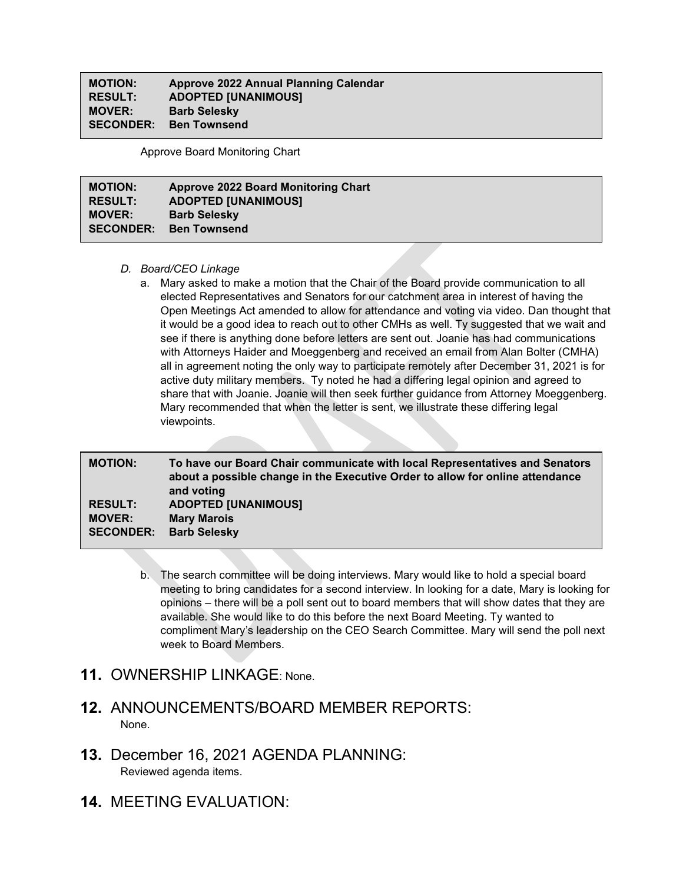#### **MOTION: Approve 2022 Annual Planning Calendar RESULT: ADOPTED [UNANIMOUS] Barb Selesky SECONDER: Ben Townsend**

Approve Board Monitoring Chart

| <b>MOTION:</b>   | <b>Approve 2022 Board Monitoring Chart</b> |
|------------------|--------------------------------------------|
| <b>RESULT:</b>   | <b>ADOPTED [UNANIMOUS]</b>                 |
| <b>MOVER:</b>    | <b>Barb Selesky</b>                        |
| <b>SECONDER:</b> | <b>Ben Townsend</b>                        |

#### *D. Board/CEO Linkage*

a. Mary asked to make a motion that the Chair of the Board provide communication to all elected Representatives and Senators for our catchment area in interest of having the Open Meetings Act amended to allow for attendance and voting via video. Dan thought that it would be a good idea to reach out to other CMHs as well. Ty suggested that we wait and see if there is anything done before letters are sent out. Joanie has had communications with Attorneys Haider and Moeggenberg and received an email from Alan Bolter (CMHA) all in agreement noting the only way to participate remotely after December 31, 2021 is for active duty military members. Ty noted he had a differing legal opinion and agreed to share that with Joanie. Joanie will then seek further guidance from Attorney Moeggenberg. Mary recommended that when the letter is sent, we illustrate these differing legal viewpoints.

| <b>MOTION:</b>   | To have our Board Chair communicate with local Representatives and Senators<br>about a possible change in the Executive Order to allow for online attendance<br>and voting |
|------------------|----------------------------------------------------------------------------------------------------------------------------------------------------------------------------|
| <b>RESULT:</b>   | <b>ADOPTED [UNANIMOUS]</b>                                                                                                                                                 |
| <b>MOVER:</b>    | <b>Mary Marois</b>                                                                                                                                                         |
| <b>SECONDER:</b> | <b>Barb Selesky</b>                                                                                                                                                        |

- b. The search committee will be doing interviews. Mary would like to hold a special board meeting to bring candidates for a second interview. In looking for a date, Mary is looking for opinions – there will be a poll sent out to board members that will show dates that they are available. She would like to do this before the next Board Meeting. Ty wanted to compliment Mary's leadership on the CEO Search Committee. Mary will send the poll next week to Board Members.
- **11.** OWNERSHIP LINKAGE: None.
- **12.** ANNOUNCEMENTS/BOARD MEMBER REPORTS: None.
- **13.** December 16, 2021 AGENDA PLANNING: Reviewed agenda items.
- **14.** MEETING EVALUATION: